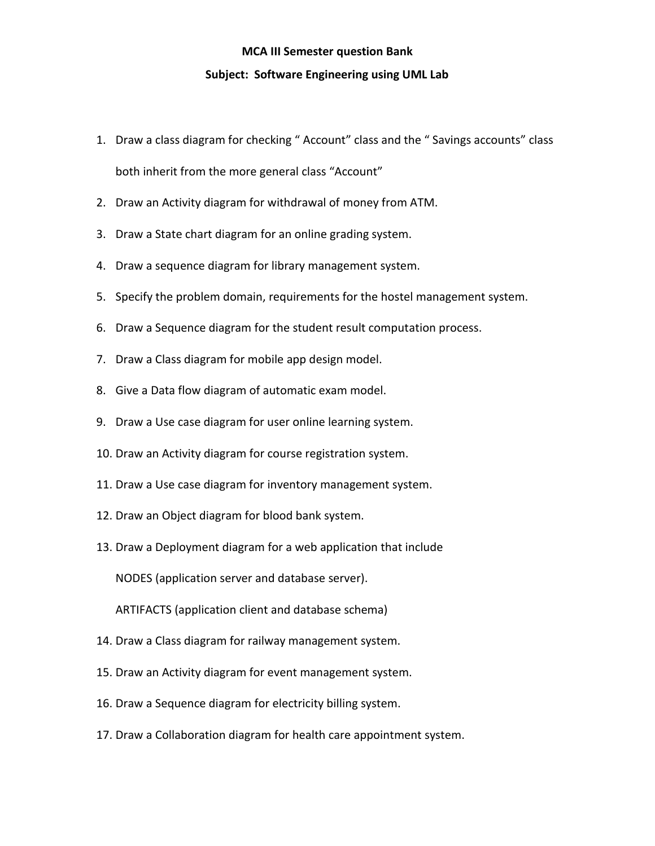## **MCA III Semester question Bank**

## **Subject: Software Engineering using UML Lab**

- 1. Draw a class diagram for checking " Account" class and the " Savings accounts" class both inherit from the more general class "Account"
- 2. Draw an Activity diagram for withdrawal of money from ATM.
- 3. Draw a State chart diagram for an online grading system.
- 4. Draw a sequence diagram for library management system.
- 5. Specify the problem domain, requirements for the hostel management system.
- 6. Draw a Sequence diagram for the student result computation process.
- 7. Draw a Class diagram for mobile app design model.
- 8. Give a Data flow diagram of automatic exam model.
- 9. Draw a Use case diagram for user online learning system.
- 10. Draw an Activity diagram for course registration system.
- 11. Draw a Use case diagram for inventory management system.
- 12. Draw an Object diagram for blood bank system.
- 13. Draw a Deployment diagram for a web application that include

NODES (application server and database server).

ARTIFACTS (application client and database schema)

- 14. Draw a Class diagram for railway management system.
- 15. Draw an Activity diagram for event management system.
- 16. Draw a Sequence diagram for electricity billing system.
- 17. Draw a Collaboration diagram for health care appointment system.